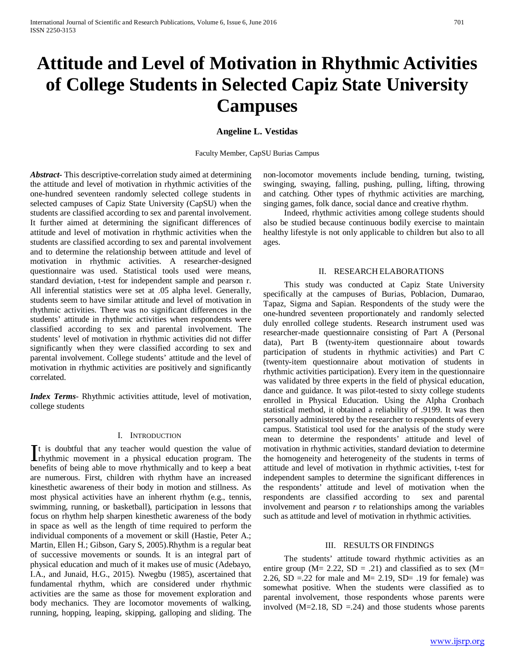# **Attitude and Level of Motivation in Rhythmic Activities of College Students in Selected Capiz State University Campuses**

## **Angeline L. Vestidas**

Faculty Member, CapSU Burias Campus

*Abstract***-** This descriptive-correlation study aimed at determining the attitude and level of motivation in rhythmic activities of the one-hundred seventeen randomly selected college students in selected campuses of Capiz State University (CapSU) when the students are classified according to sex and parental involvement. It further aimed at determining the significant differences of attitude and level of motivation in rhythmic activities when the students are classified according to sex and parental involvement and to determine the relationship between attitude and level of motivation in rhythmic activities. A researcher-designed questionnaire was used. Statistical tools used were means, standard deviation, t-test for independent sample and pearson r. All inferential statistics were set at .05 alpha level. Generally, students seem to have similar attitude and level of motivation in rhythmic activities. There was no significant differences in the students' attitude in rhythmic activities when respondents were classified according to sex and parental involvement. The students' level of motivation in rhythmic activities did not differ significantly when they were classified according to sex and parental involvement. College students' attitude and the level of motivation in rhythmic activities are positively and significantly correlated.

*Index Terms*- Rhythmic activities attitude, level of motivation, college students

# I. INTRODUCTION

t is doubtful that any teacher would question the value of It is doubtful that any teacher would question the value of rhythmic movement in a physical education program. The language  $\frac{1}{2}$ benefits of being able to move rhythmically and to keep a beat are numerous. First, children with rhythm have an increased kinesthetic awareness of their body in motion and stillness. As most physical activities have an inherent rhythm (e.g., tennis, swimming, running, or basketball), participation in lessons that focus on rhythm help sharpen kinesthetic awareness of the body in space as well as the length of time required to perform the individual components of a movement or skill (Hastie, Peter A.; Martin, Ellen H.; Gibson, Gary S, 2005).Rhythm is a regular beat of successive movements or sounds. It is an integral part of physical education and much of it makes use of music (Adebayo, I.A., and Junaid, H.G., 2015). Nwegbu (1985), ascertained that fundamental rhythm, which are considered under rhythmic activities are the same as those for movement exploration and body mechanics. They are locomotor movements of walking, running, hopping, leaping, skipping, galloping and sliding. The

non-locomotor movements include bending, turning, twisting, swinging, swaying, falling, pushing, pulling, lifting, throwing and catching. Other types of rhythmic activities are marching, singing games, folk dance, social dance and creative rhythm.

 Indeed, rhythmic activities among college students should also be studied because continuous bodily exercise to maintain healthy lifestyle is not only applicable to children but also to all ages.

#### II. RESEARCH ELABORATIONS

 This study was conducted at Capiz State University specifically at the campuses of Burias, Poblacion, Dumarao, Tapaz, Sigma and Sapian. Respondents of the study were the one-hundred seventeen proportionately and randomly selected duly enrolled college students. Research instrument used was researcher-made questionnaire consisting of Part A (Personal data), Part B (twenty-item questionnaire about towards participation of students in rhythmic activities) and Part C (twenty-item questionnaire about motivation of students in rhythmic activities participation). Every item in the questionnaire was validated by three experts in the field of physical education, dance and guidance. It was pilot-tested to sixty college students enrolled in Physical Education. Using the Alpha Cronbach statistical method, it obtained a reliability of .9199. It was then personally administered by the researcher to respondents of every campus. Statistical tool used for the analysis of the study were mean to determine the respondents' attitude and level of motivation in rhythmic activities, standard deviation to determine the homogeneity and heterogeneity of the students in terms of attitude and level of motivation in rhythmic activities, t-test for independent samples to determine the significant differences in the respondents' attitude and level of motivation when the respondents are classified according to sex and parental involvement and pearson *r* to relationships among the variables such as attitude and level of motivation in rhythmic activities.

## III. RESULTS OR FINDINGS

 The students' attitude toward rhythmic activities as an entire group ( $M = 2.22$ ,  $SD = .21$ ) and classified as to sex ( $M =$ 2.26, SD =.22 for male and  $M = 2.19$ , SD= .19 for female) was somewhat positive. When the students were classified as to parental involvement, those respondents whose parents were involved  $(M=2.18, SD = .24)$  and those students whose parents